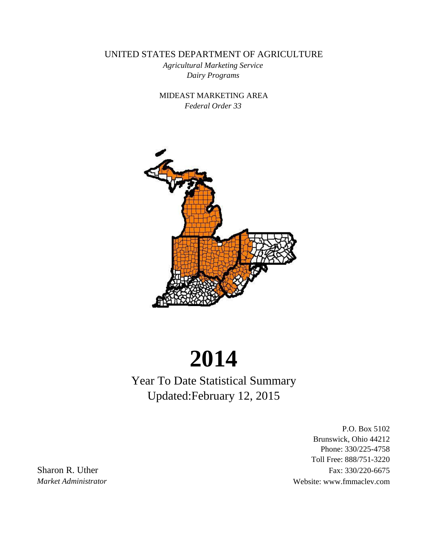UNITED STATES DEPARTMENT OF AGRICULTURE

*Dairy Programs Agricultural Marketing Service*

*Federal Order 33* MIDEAST MARKETING AREA



# **2014**

Year To Date Statistical Summary Updated:February 12, 2015

P.O. Box 5102 Brunswick, Ohio 44212 Phone: 330/225-4758 Toll Free: 888/751-3220 Sharon R. Uther Fax: 330/220-6675 *Market Administrator* Website: www.fmmaclev.com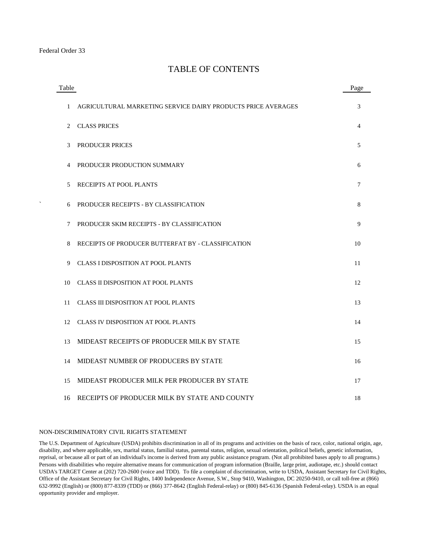#### TABLE OF CONTENTS

| Table |                                                              | Page |
|-------|--------------------------------------------------------------|------|
| 1     | AGRICULTURAL MARKETING SERVICE DAIRY PRODUCTS PRICE AVERAGES | 3    |
| 2     | <b>CLASS PRICES</b>                                          | 4    |
| 3     | <b>PRODUCER PRICES</b>                                       | 5    |
| 4     | PRODUCER PRODUCTION SUMMARY                                  | 6    |
| 5     | RECEIPTS AT POOL PLANTS                                      | 7    |
| 6     | PRODUCER RECEIPTS - BY CLASSIFICATION                        | 8    |
| 7     | PRODUCER SKIM RECEIPTS - BY CLASSIFICATION                   | 9    |
| 8     | RECEIPTS OF PRODUCER BUTTERFAT BY - CLASSIFICATION           | 10   |
| 9     | <b>CLASS I DISPOSITION AT POOL PLANTS</b>                    | 11   |
| 10    | <b>CLASS II DISPOSITION AT POOL PLANTS</b>                   | 12   |
| 11    | <b>CLASS III DISPOSITION AT POOL PLANTS</b>                  | 13   |
| 12    | <b>CLASS IV DISPOSITION AT POOL PLANTS</b>                   | 14   |
| 13    | MIDEAST RECEIPTS OF PRODUCER MILK BY STATE                   | 15   |
| 14    | MIDEAST NUMBER OF PRODUCERS BY STATE                         | 16   |
| 15    | MIDEAST PRODUCER MILK PER PRODUCER BY STATE                  | 17   |
| 16    | RECEIPTS OF PRODUCER MILK BY STATE AND COUNTY                | 18   |

#### NON-DISCRIMINATORY CIVIL RIGHTS STATEMENT

The U.S. Department of Agriculture (USDA) prohibits discrimination in all of its programs and activities on the basis of race, color, national origin, age, disability, and where applicable, sex, marital status, familial status, parental status, religion, sexual orientation, political beliefs, genetic information, reprisal, or because all or part of an individual's income is derived from any public assistance program. (Not all prohibited bases apply to all programs.) Persons with disabilities who require alternative means for communication of program information (Braille, large print, audiotape, etc.) should contact USDA's TARGET Center at (202) 720-2600 (voice and TDD). To file a complaint of discrimination, write to USDA, Assistant Secretary for Civil Rights, Office of the Assistant Secretary for Civil Rights, 1400 Independence Avenue, S.W., Stop 9410, Washington, DC 20250-9410, or call toll-free at (866) 632-9992 (English) or (800) 877-8339 (TDD) or (866) 377-8642 (English Federal-relay) or (800) 845-6136 (Spanish Federal-relay). USDA is an equal opportunity provider and employer.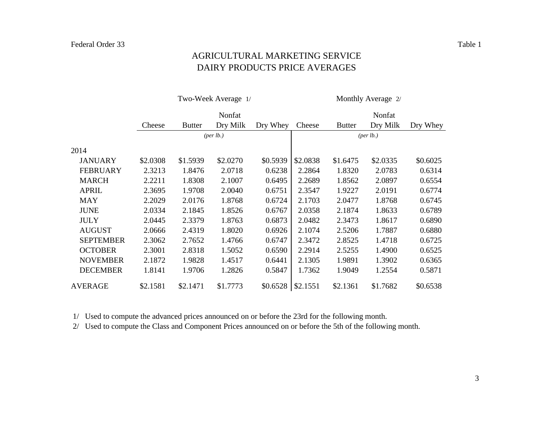#### DAIRY PRODUCTS PRICE AVERAGES AGRICULTURAL MARKETING SERVICE

|                  |          |               | Two-Week Average 1/ |          | Monthly Average 2/   |               |          |          |  |  |
|------------------|----------|---------------|---------------------|----------|----------------------|---------------|----------|----------|--|--|
|                  |          |               | Nonfat              |          | Nonfat               |               |          |          |  |  |
|                  | Cheese   | <b>Butter</b> | Dry Milk            | Dry Whey | Cheese               | <b>Butter</b> | Dry Milk | Dry Whey |  |  |
|                  |          |               | $(\text{per lb.})$  |          | ${\rm (per \, lb.)}$ |               |          |          |  |  |
| 2014             |          |               |                     |          |                      |               |          |          |  |  |
| <b>JANUARY</b>   | \$2.0308 | \$1.5939      | \$2.0270            | \$0.5939 | \$2.0838             | \$1.6475      | \$2.0335 | \$0.6025 |  |  |
| <b>FEBRUARY</b>  | 2.3213   | 1.8476        | 2.0718              | 0.6238   | 2.2864               | 1.8320        | 2.0783   | 0.6314   |  |  |
| <b>MARCH</b>     | 2.2211   | 1.8308        | 2.1007              | 0.6495   | 2.2689               | 1.8562        | 2.0897   | 0.6554   |  |  |
| <b>APRIL</b>     | 2.3695   | 1.9708        | 2.0040              | 0.6751   | 2.3547               | 1.9227        | 2.0191   | 0.6774   |  |  |
| <b>MAY</b>       | 2.2029   | 2.0176        | 1.8768              | 0.6724   | 2.1703               | 2.0477        | 1.8768   | 0.6745   |  |  |
| <b>JUNE</b>      | 2.0334   | 2.1845        | 1.8526              | 0.6767   | 2.0358               | 2.1874        | 1.8633   | 0.6789   |  |  |
| <b>JULY</b>      | 2.0445   | 2.3379        | 1.8763              | 0.6873   | 2.0482               | 2.3473        | 1.8617   | 0.6890   |  |  |
| <b>AUGUST</b>    | 2.0666   | 2.4319        | 1.8020              | 0.6926   | 2.1074               | 2.5206        | 1.7887   | 0.6880   |  |  |
| <b>SEPTEMBER</b> | 2.3062   | 2.7652        | 1.4766              | 0.6747   | 2.3472               | 2.8525        | 1.4718   | 0.6725   |  |  |
| <b>OCTOBER</b>   | 2.3001   | 2.8318        | 1.5052              | 0.6590   | 2.2914               | 2.5255        | 1.4900   | 0.6525   |  |  |
| <b>NOVEMBER</b>  | 2.1872   | 1.9828        | 1.4517              | 0.6441   | 2.1305               | 1.9891        | 1.3902   | 0.6365   |  |  |
| <b>DECEMBER</b>  | 1.8141   | 1.9706        | 1.2826              | 0.5847   | 1.7362               | 1.9049        | 1.2554   | 0.5871   |  |  |
| <b>AVERAGE</b>   | \$2.1581 | \$2.1471      | \$1.7773            | \$0.6528 | \$2.1551             | \$2.1361      | \$1.7682 | \$0.6538 |  |  |

1/ Used to compute the advanced prices announced on or before the 23rd for the following month.

2/ Used to compute the Class and Component Prices announced on or before the 5th of the following month.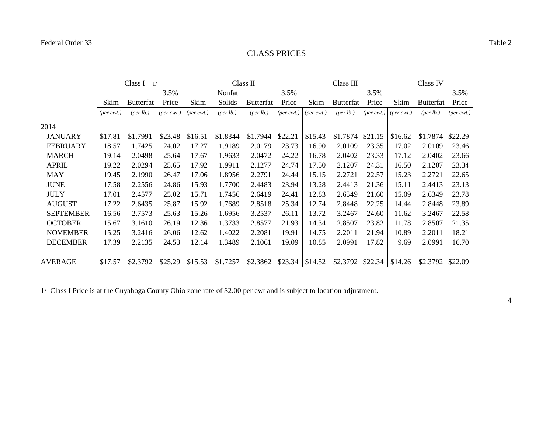# CLASS PRICES

|                  | Class I<br>1/               |                                   |                             |                             |                                   | Class II                    |                             |                             | Class III                   |                             |                             | Class IV                          |                             |
|------------------|-----------------------------|-----------------------------------|-----------------------------|-----------------------------|-----------------------------------|-----------------------------|-----------------------------|-----------------------------|-----------------------------|-----------------------------|-----------------------------|-----------------------------------|-----------------------------|
|                  |                             |                                   | 3.5%                        |                             | Nonfat                            |                             | 3.5%                        |                             |                             | 3.5%                        |                             |                                   | 3.5%                        |
|                  | Skim                        | <b>Butterfat</b>                  | Price                       | Skim                        | Solids                            | <b>Butterfat</b>            | Price                       | Skim                        | <b>Butterfat</b>            | Price                       | Skim                        | <b>Butterfat</b>                  | Price                       |
|                  | $(\text{per} \text{ cwt.})$ | ${\left( \text{per lb.} \right)}$ | $(\text{per} \text{ cwt.})$ | $(\text{per} \text{ cwt.})$ | ${\left( \text{per lb.} \right)}$ | ${\rm (per \, lb.)}$        | $(\text{per} \text{ cwt.})$ | $(\text{per} \text{ cwt.})$ | (per lb.)                   | $(\text{per} \text{ cwt.})$ | $(\text{per} \text{ cwt.})$ | ${\left( \text{per lb.} \right)}$ | $(\text{per} \text{ cwt.})$ |
| 2014             |                             |                                   |                             |                             |                                   |                             |                             |                             |                             |                             |                             |                                   |                             |
| <b>JANUARY</b>   | \$17.81                     | \$1.7991                          | \$23.48                     | \$16.51                     | \$1.8344                          | \$1.7944                    | \$22.21                     | \$15.43                     | \$1.7874                    | \$21.15                     | \$16.62                     | \$1.7874                          | \$22.29                     |
| <b>FEBRUARY</b>  | 18.57                       | 1.7425                            | 24.02                       | 17.27                       | 1.9189                            | 2.0179                      | 23.73                       | 16.90                       | 2.0109                      | 23.35                       | 17.02                       | 2.0109                            | 23.46                       |
| <b>MARCH</b>     | 19.14                       | 2.0498                            | 25.64                       | 17.67                       | 1.9633                            | 2.0472                      | 24.22                       | 16.78                       | 2.0402                      | 23.33                       | 17.12                       | 2.0402                            | 23.66                       |
| <b>APRIL</b>     | 19.22                       | 2.0294                            | 25.65                       | 17.92                       | 1.9911                            | 2.1277                      | 24.74                       | 17.50                       | 2.1207                      | 24.31                       | 16.50                       | 2.1207                            | 23.34                       |
| <b>MAY</b>       | 19.45                       | 2.1990                            | 26.47                       | 17.06                       | 1.8956                            | 2.2791                      | 24.44                       | 15.15                       | 2.2721                      | 22.57                       | 15.23                       | 2.2721                            | 22.65                       |
| <b>JUNE</b>      | 17.58                       | 2.2556                            | 24.86                       | 15.93                       | 1.7700                            | 2.4483                      | 23.94                       | 13.28                       | 2.4413                      | 21.36                       | 15.11                       | 2.4413                            | 23.13                       |
| <b>JULY</b>      | 17.01                       | 2.4577                            | 25.02                       | 15.71                       | 1.7456                            | 2.6419                      | 24.41                       | 12.83                       | 2.6349                      | 21.60                       | 15.09                       | 2.6349                            | 23.78                       |
| <b>AUGUST</b>    | 17.22                       | 2.6435                            | 25.87                       | 15.92                       | 1.7689                            | 2.8518                      | 25.34                       | 12.74                       | 2.8448                      | 22.25                       | 14.44                       | 2.8448                            | 23.89                       |
| <b>SEPTEMBER</b> | 16.56                       | 2.7573                            | 25.63                       | 15.26                       | 1.6956                            | 3.2537                      | 26.11                       | 13.72                       | 3.2467                      | 24.60                       | 11.62                       | 3.2467                            | 22.58                       |
| <b>OCTOBER</b>   | 15.67                       | 3.1610                            | 26.19                       | 12.36                       | 1.3733                            | 2.8577                      | 21.93                       | 14.34                       | 2.8507                      | 23.82                       | 11.78                       | 2.8507                            | 21.35                       |
| <b>NOVEMBER</b>  | 15.25                       | 3.2416                            | 26.06                       | 12.62                       | 1.4022                            | 2.2081                      | 19.91                       | 14.75                       | 2.2011                      | 21.94                       | 10.89                       | 2.2011                            | 18.21                       |
| <b>DECEMBER</b>  | 17.39                       | 2.2135                            | 24.53                       | 12.14                       | 1.3489                            | 2.1061                      | 19.09                       | 10.85                       | 2.0991                      | 17.82                       | 9.69                        | 2.0991                            | 16.70                       |
| AVERAGE          | \$17.57                     | \$2.3792                          | $$25.29$ \ \$15.53          |                             | \$1.7257                          | $$2.3862$ $$23.34$ $$14.52$ |                             |                             | $$2.3792$ $$22.34$ $$14.26$ |                             |                             | \$2.3792 \$22.09                  |                             |

1/ Class I Price is at the Cuyahoga County Ohio zone rate of \$2.00 per cwt and is subject to location adjustment.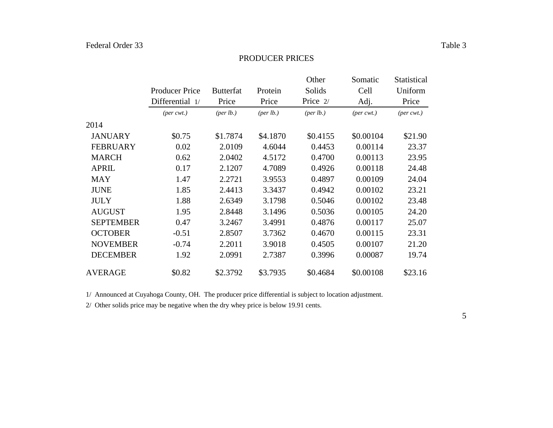#### PRODUCER PRICES

|                  |                             |                      |                      | Other                | Somatic        | Statistical    |
|------------------|-----------------------------|----------------------|----------------------|----------------------|----------------|----------------|
|                  | <b>Producer Price</b>       | <b>Butterfat</b>     | Protein              | Solids               | Cell           | Uniform        |
|                  | Differential 1/             | Price                | Price                | Price 2/             | Adj.           | Price          |
|                  | $(\text{per} \text{ cwt.})$ | ${\rm (per \, lb.)}$ | ${\rm (per \, lb.)}$ | ${\rm (per \, lb.)}$ | $(per\,$ cwt.) | $(per\,$ cwt.) |
| 2014             |                             |                      |                      |                      |                |                |
| <b>JANUARY</b>   | \$0.75                      | \$1.7874             | \$4.1870             | \$0.4155             | \$0.00104      | \$21.90        |
| <b>FEBRUARY</b>  | 0.02                        | 2.0109               | 4.6044               | 0.4453               | 0.00114        | 23.37          |
| <b>MARCH</b>     | 0.62                        | 2.0402               | 4.5172               | 0.4700               | 0.00113        | 23.95          |
| <b>APRIL</b>     | 0.17                        | 2.1207               | 4.7089               | 0.4926               | 0.00118        | 24.48          |
| <b>MAY</b>       | 1.47                        | 2.2721               | 3.9553               | 0.4897               | 0.00109        | 24.04          |
| <b>JUNE</b>      | 1.85                        | 2.4413               | 3.3437               | 0.4942               | 0.00102        | 23.21          |
| <b>JULY</b>      | 1.88                        | 2.6349               | 3.1798               | 0.5046               | 0.00102        | 23.48          |
| <b>AUGUST</b>    | 1.95                        | 2.8448               | 3.1496               | 0.5036               | 0.00105        | 24.20          |
| <b>SEPTEMBER</b> | 0.47                        | 3.2467               | 3.4991               | 0.4876               | 0.00117        | 25.07          |
| <b>OCTOBER</b>   | $-0.51$                     | 2.8507               | 3.7362               | 0.4670               | 0.00115        | 23.31          |
| <b>NOVEMBER</b>  | $-0.74$                     | 2.2011               | 3.9018               | 0.4505               | 0.00107        | 21.20          |
| <b>DECEMBER</b>  | 1.92                        | 2.0991               | 2.7387               | 0.3996               | 0.00087        | 19.74          |
| <b>AVERAGE</b>   | \$0.82                      | \$2.3792             | \$3.7935             | \$0.4684             | \$0.00108      | \$23.16        |

1/ Announced at Cuyahoga County, OH. The producer price differential is subject to location adjustment.

2/ Other solids price may be negative when the dry whey price is below 19.91 cents.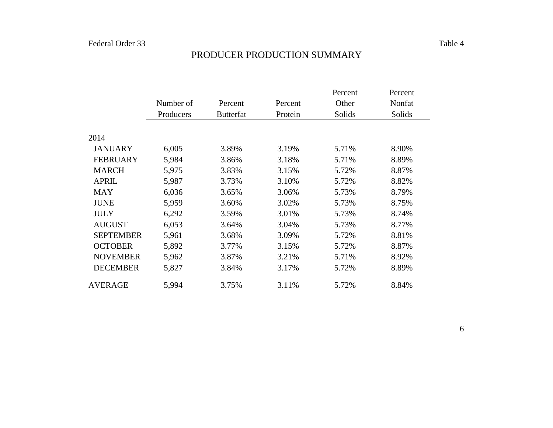|                  |           |                  |         | Percent | Percent |
|------------------|-----------|------------------|---------|---------|---------|
|                  | Number of | Percent          | Percent | Other   | Nonfat  |
|                  | Producers | <b>Butterfat</b> | Protein | Solids  | Solids  |
|                  |           |                  |         |         |         |
| 2014             |           |                  |         |         |         |
| <b>JANUARY</b>   | 6,005     | 3.89%            | 3.19%   | 5.71%   | 8.90%   |
| <b>FEBRUARY</b>  | 5,984     | 3.86%            | 3.18%   | 5.71%   | 8.89%   |
| <b>MARCH</b>     | 5,975     | 3.83%            | 3.15%   | 5.72%   | 8.87%   |
| <b>APRIL</b>     | 5,987     | 3.73%            | 3.10%   | 5.72%   | 8.82%   |
| <b>MAY</b>       | 6,036     | 3.65%            | 3.06%   | 5.73%   | 8.79%   |
| <b>JUNE</b>      | 5,959     | 3.60%            | 3.02%   | 5.73%   | 8.75%   |
| <b>JULY</b>      | 6,292     | 3.59%            | 3.01%   | 5.73%   | 8.74%   |
| <b>AUGUST</b>    | 6,053     | 3.64%            | 3.04%   | 5.73%   | 8.77%   |
| <b>SEPTEMBER</b> | 5,961     | 3.68%            | 3.09%   | 5.72%   | 8.81%   |
| <b>OCTOBER</b>   | 5,892     | 3.77%            | 3.15%   | 5.72%   | 8.87%   |
| <b>NOVEMBER</b>  | 5,962     | 3.87%            | 3.21%   | 5.71%   | 8.92%   |
| <b>DECEMBER</b>  | 5,827     | 3.84%            | 3.17%   | 5.72%   | 8.89%   |
| <b>AVERAGE</b>   | 5,994     | 3.75%            | 3.11%   | 5.72%   | 8.84%   |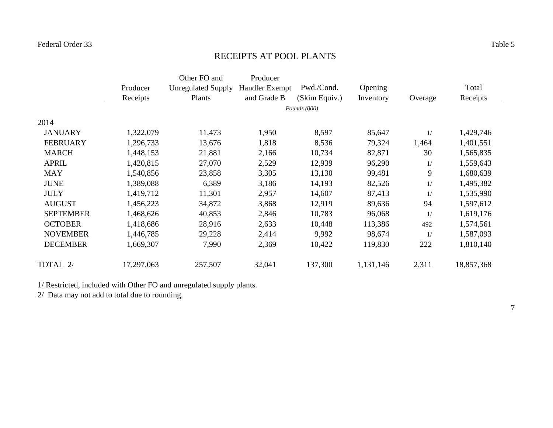#### RECEIPTS AT POOL PLANTS

|                  |            | Other FO and              | Producer              |               |           |         |            |
|------------------|------------|---------------------------|-----------------------|---------------|-----------|---------|------------|
|                  | Producer   | <b>Unregulated Supply</b> | <b>Handler Exempt</b> | Pwd./Cond.    | Opening   |         | Total      |
|                  | Receipts   | Plants                    | and Grade B           | (Skim Equiv.) | Inventory | Overage | Receipts   |
|                  |            |                           |                       | Pounds (000)  |           |         |            |
| 2014             |            |                           |                       |               |           |         |            |
| <b>JANUARY</b>   | 1,322,079  | 11,473                    | 1,950                 | 8,597         | 85,647    | 1/      | 1,429,746  |
| <b>FEBRUARY</b>  | 1,296,733  | 13,676                    | 1,818                 | 8,536         | 79,324    | 1,464   | 1,401,551  |
| <b>MARCH</b>     | 1,448,153  | 21,881                    | 2,166                 | 10,734        | 82,871    | 30      | 1,565,835  |
| <b>APRIL</b>     | 1,420,815  | 27,070                    | 2,529                 | 12,939        | 96,290    | 1/      | 1,559,643  |
| <b>MAY</b>       | 1,540,856  | 23,858                    | 3,305                 | 13,130        | 99,481    | 9       | 1,680,639  |
| <b>JUNE</b>      | 1,389,088  | 6,389                     | 3,186                 | 14,193        | 82,526    | 1/      | 1,495,382  |
| <b>JULY</b>      | 1,419,712  | 11,301                    | 2,957                 | 14,607        | 87,413    | 1/      | 1,535,990  |
| <b>AUGUST</b>    | 1,456,223  | 34,872                    | 3,868                 | 12,919        | 89,636    | 94      | 1,597,612  |
| <b>SEPTEMBER</b> | 1,468,626  | 40,853                    | 2,846                 | 10,783        | 96,068    | 1/      | 1,619,176  |
| <b>OCTOBER</b>   | 1,418,686  | 28,916                    | 2,633                 | 10,448        | 113,386   | 492     | 1,574,561  |
| <b>NOVEMBER</b>  | 1,446,785  | 29,228                    | 2,414                 | 9,992         | 98,674    | 1/      | 1,587,093  |
| <b>DECEMBER</b>  | 1,669,307  | 7,990                     | 2,369                 | 10,422        | 119,830   | 222     | 1,810,140  |
| TOTAL 2/         | 17,297,063 | 257,507                   | 32,041                | 137,300       | 1,131,146 | 2,311   | 18,857,368 |

1/ Restricted, included with Other FO and unregulated supply plants.

2/ Data may not add to total due to rounding.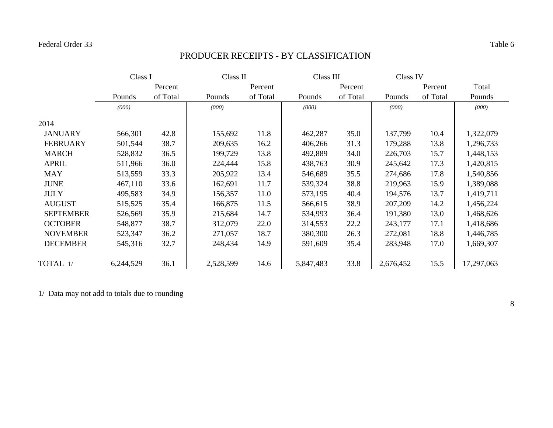# PRODUCER RECEIPTS - BY CLASSIFICATION

|                  |           | Class I  |           | Class II |           | Class III |           | Class IV |            |
|------------------|-----------|----------|-----------|----------|-----------|-----------|-----------|----------|------------|
|                  |           | Percent  |           | Percent  |           | Percent   |           | Percent  | Total      |
|                  | Pounds    | of Total | Pounds    | of Total | Pounds    | of Total  | Pounds    | of Total | Pounds     |
|                  | (000)     |          | (000)     |          | (000)     |           | (000)     |          | (000)      |
| 2014             |           |          |           |          |           |           |           |          |            |
| <b>JANUARY</b>   | 566,301   | 42.8     | 155,692   | 11.8     | 462,287   | 35.0      | 137,799   | 10.4     | 1,322,079  |
| <b>FEBRUARY</b>  | 501,544   | 38.7     | 209,635   | 16.2     | 406,266   | 31.3      | 179,288   | 13.8     | 1,296,733  |
| <b>MARCH</b>     | 528,832   | 36.5     | 199,729   | 13.8     | 492,889   | 34.0      | 226,703   | 15.7     | 1,448,153  |
| <b>APRIL</b>     | 511,966   | 36.0     | 224,444   | 15.8     | 438,763   | 30.9      | 245,642   | 17.3     | 1,420,815  |
| <b>MAY</b>       | 513,559   | 33.3     | 205,922   | 13.4     | 546,689   | 35.5      | 274,686   | 17.8     | 1,540,856  |
| <b>JUNE</b>      | 467,110   | 33.6     | 162,691   | 11.7     | 539,324   | 38.8      | 219,963   | 15.9     | 1,389,088  |
| <b>JULY</b>      | 495,583   | 34.9     | 156,357   | 11.0     | 573,195   | 40.4      | 194,576   | 13.7     | 1,419,711  |
| <b>AUGUST</b>    | 515,525   | 35.4     | 166,875   | 11.5     | 566,615   | 38.9      | 207,209   | 14.2     | 1,456,224  |
| <b>SEPTEMBER</b> | 526,569   | 35.9     | 215,684   | 14.7     | 534,993   | 36.4      | 191,380   | 13.0     | 1,468,626  |
| <b>OCTOBER</b>   | 548,877   | 38.7     | 312,079   | 22.0     | 314,553   | 22.2      | 243,177   | 17.1     | 1,418,686  |
| <b>NOVEMBER</b>  | 523,347   | 36.2     | 271,057   | 18.7     | 380,300   | 26.3      | 272,081   | 18.8     | 1,446,785  |
| <b>DECEMBER</b>  | 545,316   | 32.7     | 248,434   | 14.9     | 591,609   | 35.4      | 283,948   | 17.0     | 1,669,307  |
| TOTAL 1/         | 6,244,529 | 36.1     | 2,528,599 | 14.6     | 5,847,483 | 33.8      | 2,676,452 | 15.5     | 17,297,063 |

1/ Data may not add to totals due to rounding

8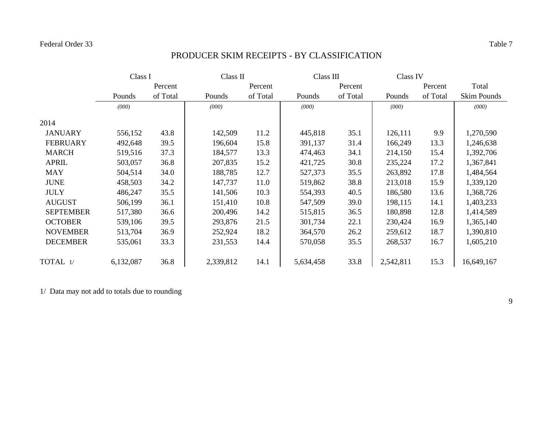# PRODUCER SKIM RECEIPTS - BY CLASSIFICATION

|                  |           | Class I  |           | Class II<br>Class III |           | Class IV |           |          |                    |
|------------------|-----------|----------|-----------|-----------------------|-----------|----------|-----------|----------|--------------------|
|                  |           | Percent  |           | Percent               |           | Percent  |           | Percent  | Total              |
|                  | Pounds    | of Total | Pounds    | of Total              | Pounds    | of Total | Pounds    | of Total | <b>Skim Pounds</b> |
|                  | (000)     |          | (000)     |                       | (000)     |          | (000)     |          | (000)              |
| 2014             |           |          |           |                       |           |          |           |          |                    |
| <b>JANUARY</b>   | 556,152   | 43.8     | 142,509   | 11.2                  | 445,818   | 35.1     | 126,111   | 9.9      | 1,270,590          |
| <b>FEBRUARY</b>  | 492,648   | 39.5     | 196,604   | 15.8                  | 391,137   | 31.4     | 166,249   | 13.3     | 1,246,638          |
| <b>MARCH</b>     | 519,516   | 37.3     | 184,577   | 13.3                  | 474,463   | 34.1     | 214,150   | 15.4     | 1,392,706          |
| <b>APRIL</b>     | 503,057   | 36.8     | 207,835   | 15.2                  | 421,725   | 30.8     | 235,224   | 17.2     | 1,367,841          |
| <b>MAY</b>       | 504,514   | 34.0     | 188,785   | 12.7                  | 527,373   | 35.5     | 263,892   | 17.8     | 1,484,564          |
| <b>JUNE</b>      | 458,503   | 34.2     | 147,737   | 11.0                  | 519,862   | 38.8     | 213,018   | 15.9     | 1,339,120          |
| <b>JULY</b>      | 486,247   | 35.5     | 141,506   | 10.3                  | 554,393   | 40.5     | 186,580   | 13.6     | 1,368,726          |
| <b>AUGUST</b>    | 506,199   | 36.1     | 151,410   | 10.8                  | 547,509   | 39.0     | 198,115   | 14.1     | 1,403,233          |
| <b>SEPTEMBER</b> | 517,380   | 36.6     | 200,496   | 14.2                  | 515,815   | 36.5     | 180,898   | 12.8     | 1,414,589          |
| <b>OCTOBER</b>   | 539,106   | 39.5     | 293,876   | 21.5                  | 301,734   | 22.1     | 230,424   | 16.9     | 1,365,140          |
| <b>NOVEMBER</b>  | 513,704   | 36.9     | 252,924   | 18.2                  | 364,570   | 26.2     | 259,612   | 18.7     | 1,390,810          |
| <b>DECEMBER</b>  | 535,061   | 33.3     | 231,553   | 14.4                  | 570,058   | 35.5     | 268,537   | 16.7     | 1,605,210          |
| TOTAL 1/         | 6,132,087 | 36.8     | 2,339,812 | 14.1                  | 5,634,458 | 33.8     | 2,542,811 | 15.3     | 16,649,167         |

1/ Data may not add to totals due to rounding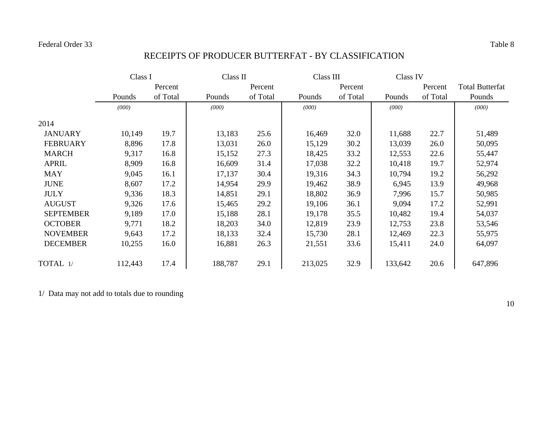## RECEIPTS OF PRODUCER BUTTERFAT - BY CLASSIFICATION

|                  | Class I |          |         | Class II |         | Class III |         | Class IV |                        |
|------------------|---------|----------|---------|----------|---------|-----------|---------|----------|------------------------|
|                  |         | Percent  |         | Percent  |         | Percent   |         | Percent  | <b>Total Butterfat</b> |
|                  | Pounds  | of Total | Pounds  | of Total | Pounds  | of Total  | Pounds  | of Total | Pounds                 |
|                  | (000)   |          | (000)   |          | (000)   |           | (000)   |          | (000)                  |
| 2014             |         |          |         |          |         |           |         |          |                        |
| <b>JANUARY</b>   | 10,149  | 19.7     | 13,183  | 25.6     | 16,469  | 32.0      | 11,688  | 22.7     | 51,489                 |
| <b>FEBRUARY</b>  | 8,896   | 17.8     | 13,031  | 26.0     | 15,129  | 30.2      | 13,039  | 26.0     | 50,095                 |
| <b>MARCH</b>     | 9,317   | 16.8     | 15,152  | 27.3     | 18,425  | 33.2      | 12,553  | 22.6     | 55,447                 |
| <b>APRIL</b>     | 8,909   | 16.8     | 16,609  | 31.4     | 17,038  | 32.2      | 10,418  | 19.7     | 52,974                 |
| <b>MAY</b>       | 9,045   | 16.1     | 17,137  | 30.4     | 19,316  | 34.3      | 10,794  | 19.2     | 56,292                 |
| <b>JUNE</b>      | 8,607   | 17.2     | 14,954  | 29.9     | 19,462  | 38.9      | 6,945   | 13.9     | 49,968                 |
| <b>JULY</b>      | 9,336   | 18.3     | 14,851  | 29.1     | 18,802  | 36.9      | 7,996   | 15.7     | 50,985                 |
| <b>AUGUST</b>    | 9,326   | 17.6     | 15,465  | 29.2     | 19,106  | 36.1      | 9,094   | 17.2     | 52,991                 |
| <b>SEPTEMBER</b> | 9,189   | 17.0     | 15,188  | 28.1     | 19,178  | 35.5      | 10,482  | 19.4     | 54,037                 |
| <b>OCTOBER</b>   | 9,771   | 18.2     | 18,203  | 34.0     | 12,819  | 23.9      | 12,753  | 23.8     | 53,546                 |
| <b>NOVEMBER</b>  | 9,643   | 17.2     | 18,133  | 32.4     | 15,730  | 28.1      | 12,469  | 22.3     | 55,975                 |
| <b>DECEMBER</b>  | 10,255  | 16.0     | 16,881  | 26.3     | 21,551  | 33.6      | 15,411  | 24.0     | 64,097                 |
| TOTAL 1/         | 112,443 | 17.4     | 188,787 | 29.1     | 213,025 | 32.9      | 133,642 | 20.6     | 647,896                |

1/ Data may not add to totals due to rounding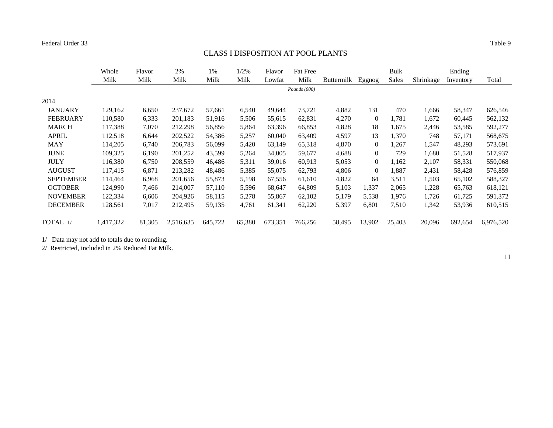# CLASS I DISPOSITION AT POOL PLANTS

|                  | Whole     | Flavor | 2%        | 1%      | 1/2%   | Flavor  | <b>Fat Free</b> |                   |                | <b>Bulk</b> |           | Ending    |           |
|------------------|-----------|--------|-----------|---------|--------|---------|-----------------|-------------------|----------------|-------------|-----------|-----------|-----------|
|                  | Milk      | Milk   | Milk      | Milk    | Milk   | Lowfat  | Milk            | <b>Buttermilk</b> | Eggnog         | Sales       | Shrinkage | Inventory | Total     |
|                  |           |        |           |         |        |         | Pounds $(000)$  |                   |                |             |           |           |           |
| 2014             |           |        |           |         |        |         |                 |                   |                |             |           |           |           |
| <b>JANUARY</b>   | 129,162   | 6,650  | 237,672   | 57,661  | 6,540  | 49,644  | 73,721          | 4,882             | 131            | 470         | 1,666     | 58,347    | 626,546   |
| <b>FEBRUARY</b>  | 110,580   | 6,333  | 201,183   | 51,916  | 5,506  | 55,615  | 62,831          | 4,270             | $\overline{0}$ | 1,781       | 1,672     | 60,445    | 562,132   |
| <b>MARCH</b>     | 117,388   | 7,070  | 212,298   | 56,856  | 5,864  | 63,396  | 66,853          | 4,828             | 18             | 1,675       | 2,446     | 53,585    | 592,277   |
| <b>APRIL</b>     | 112,518   | 6,644  | 202,522   | 54,386  | 5,257  | 60,040  | 63,409          | 4,597             | 13             | 1,370       | 748       | 57,171    | 568,675   |
| <b>MAY</b>       | 114,205   | 6,740  | 206,783   | 56,099  | 5,420  | 63,149  | 65,318          | 4,870             | $\overline{0}$ | 1,267       | 1,547     | 48,293    | 573,691   |
| <b>JUNE</b>      | 109,325   | 6,190  | 201,252   | 43,599  | 5,264  | 34,005  | 59,677          | 4,688             | $\overline{0}$ | 729         | 1,680     | 51,528    | 517,937   |
| <b>JULY</b>      | 116,380   | 6,750  | 208,559   | 46,486  | 5,311  | 39,016  | 60,913          | 5,053             | $\Omega$       | 1,162       | 2,107     | 58,331    | 550,068   |
| <b>AUGUST</b>    | 117,415   | 6,871  | 213,282   | 48,486  | 5,385  | 55,075  | 62,793          | 4,806             | $\Omega$       | 1,887       | 2,431     | 58,428    | 576,859   |
| <b>SEPTEMBER</b> | 114,464   | 6,968  | 201,656   | 55,873  | 5,198  | 67,556  | 61,610          | 4,822             | 64             | 3,511       | 1,503     | 65,102    | 588,327   |
| <b>OCTOBER</b>   | 124,990   | 7,466  | 214,007   | 57,110  | 5,596  | 68,647  | 64,809          | 5,103             | 1,337          | 2,065       | 1,228     | 65,763    | 618,121   |
| <b>NOVEMBER</b>  | 122,334   | 6,606  | 204,926   | 58,115  | 5,278  | 55,867  | 62,102          | 5,179             | 5,538          | 1,976       | 1,726     | 61,725    | 591,372   |
| <b>DECEMBER</b>  | 128,561   | 7,017  | 212,495   | 59,135  | 4,761  | 61,341  | 62,220          | 5,397             | 6,801          | 7,510       | 1,342     | 53,936    | 610,515   |
| TOTAL 1/         | 1,417,322 | 81,305 | 2,516,635 | 645,722 | 65,380 | 673,351 | 766,256         | 58,495            | 13,902         | 25,403      | 20,096    | 692,654   | 6,976,520 |

1/ Data may not add to totals due to rounding.

2/ Restricted, included in 2% Reduced Fat Milk.

11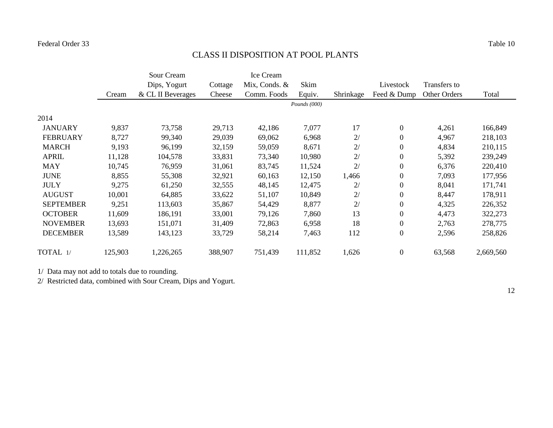## CLASS II DISPOSITION AT POOL PLANTS

|                  |         | Sour Cream        |         | Ice Cream       |              |           |                |              |           |
|------------------|---------|-------------------|---------|-----------------|--------------|-----------|----------------|--------------|-----------|
|                  |         | Dips, Yogurt      | Cottage | Mix, Conds. $&$ | Skim         |           | Livestock      | Transfers to |           |
|                  | Cream   | & CL II Beverages | Cheese  | Comm. Foods     | Equiv.       | Shrinkage | Feed & Dump    | Other Orders | Total     |
|                  |         |                   |         |                 | Pounds (000) |           |                |              |           |
| 2014             |         |                   |         |                 |              |           |                |              |           |
| <b>JANUARY</b>   | 9,837   | 73,758            | 29,713  | 42,186          | 7,077        | 17        | $\overline{0}$ | 4,261        | 166,849   |
| <b>FEBRUARY</b>  | 8,727   | 99,340            | 29,039  | 69,062          | 6,968        | 2/        | $\overline{0}$ | 4,967        | 218,103   |
| <b>MARCH</b>     | 9,193   | 96,199            | 32,159  | 59,059          | 8,671        | 2/        | $\overline{0}$ | 4,834        | 210,115   |
| <b>APRIL</b>     | 11,128  | 104,578           | 33,831  | 73,340          | 10,980       | 2/        | $\overline{0}$ | 5,392        | 239,249   |
| <b>MAY</b>       | 10,745  | 76,959            | 31,061  | 83,745          | 11,524       | 2/        | $\overline{0}$ | 6,376        | 220,410   |
| <b>JUNE</b>      | 8,855   | 55,308            | 32,921  | 60,163          | 12,150       | 1,466     | $\overline{0}$ | 7,093        | 177,956   |
| <b>JULY</b>      | 9,275   | 61,250            | 32,555  | 48,145          | 12,475       | 2/        | $\overline{0}$ | 8,041        | 171,741   |
| <b>AUGUST</b>    | 10,001  | 64,885            | 33,622  | 51,107          | 10,849       | 2/        | $\overline{0}$ | 8,447        | 178,911   |
| <b>SEPTEMBER</b> | 9,251   | 113,603           | 35,867  | 54,429          | 8,877        | 2/        | $\overline{0}$ | 4,325        | 226,352   |
| <b>OCTOBER</b>   | 11,609  | 186,191           | 33,001  | 79,126          | 7,860        | 13        | $\overline{0}$ | 4,473        | 322,273   |
| <b>NOVEMBER</b>  | 13,693  | 151,071           | 31,409  | 72,863          | 6,958        | 18        | $\overline{0}$ | 2,763        | 278,775   |
| <b>DECEMBER</b>  | 13,589  | 143,123           | 33,729  | 58,214          | 7,463        | 112       | $\overline{0}$ | 2,596        | 258,826   |
| TOTAL 1/         | 125,903 | 1,226,265         | 388,907 | 751,439         | 111,852      | 1,626     | $\overline{0}$ | 63,568       | 2,669,560 |

1/ Data may not add to totals due to rounding.

2/ Restricted data, combined with Sour Cream, Dips and Yogurt.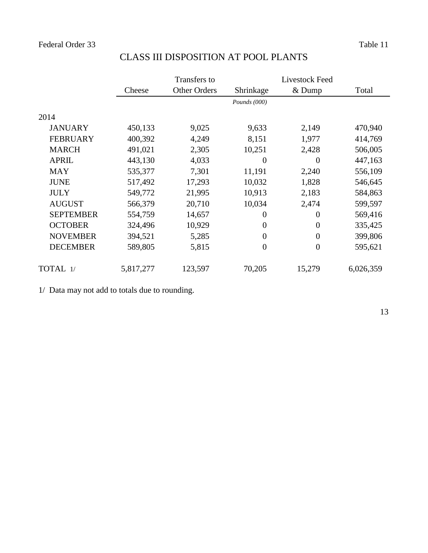|                  |           | Transfers to        |                  | Livestock Feed |           |
|------------------|-----------|---------------------|------------------|----------------|-----------|
|                  | Cheese    | <b>Other Orders</b> | Shrinkage        | $&$ Dump       | Total     |
|                  |           |                     | Pounds (000)     |                |           |
| 2014             |           |                     |                  |                |           |
| <b>JANUARY</b>   | 450,133   | 9,025               | 9,633            | 2,149          | 470,940   |
| <b>FEBRUARY</b>  | 400,392   | 4,249               | 8,151            | 1,977          | 414,769   |
| <b>MARCH</b>     | 491,021   | 2,305               | 10,251           | 2,428          | 506,005   |
| <b>APRIL</b>     | 443,130   | 4,033               | $\theta$         | 0              | 447,163   |
| <b>MAY</b>       | 535,377   | 7,301               | 11,191           | 2,240          | 556,109   |
| <b>JUNE</b>      | 517,492   | 17,293              | 10,032           | 1,828          | 546,645   |
| <b>JULY</b>      | 549,772   | 21,995              | 10,913           | 2,183          | 584,863   |
| <b>AUGUST</b>    | 566,379   | 20,710              | 10,034           | 2,474          | 599,597   |
| <b>SEPTEMBER</b> | 554,759   | 14,657              | $\boldsymbol{0}$ | $\overline{0}$ | 569,416   |
| <b>OCTOBER</b>   | 324,496   | 10,929              | 0                | $\overline{0}$ | 335,425   |
| <b>NOVEMBER</b>  | 394,521   | 5,285               | $\overline{0}$   | $\overline{0}$ | 399,806   |
| <b>DECEMBER</b>  | 589,805   | 5,815               | $\boldsymbol{0}$ | $\overline{0}$ | 595,621   |
| TOTAL 1/         | 5,817,277 | 123,597             | 70,205           | 15,279         | 6,026,359 |

### CLASS III DISPOSITION AT POOL PLANTS

1/ Data may not add to totals due to rounding.

13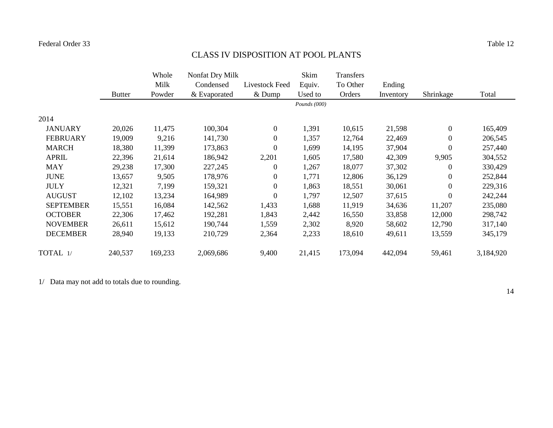# CLASS IV DISPOSITION AT POOL PLANTS

|                  |               | Whole   | Nonfat Dry Milk |                  | Skim           | Transfers |           |                  |           |
|------------------|---------------|---------|-----------------|------------------|----------------|-----------|-----------|------------------|-----------|
|                  |               | Milk    | Condensed       | Livestock Feed   | Equiv.         | To Other  | Ending    |                  |           |
|                  | <b>Butter</b> | Powder  | & Evaporated    | $&$ Dump         | Used to        | Orders    | Inventory | Shrinkage        | Total     |
|                  |               |         |                 |                  | Pounds $(000)$ |           |           |                  |           |
| 2014             |               |         |                 |                  |                |           |           |                  |           |
| <b>JANUARY</b>   | 20,026        | 11,475  | 100,304         | $\overline{0}$   | 1,391          | 10,615    | 21,598    | $\boldsymbol{0}$ | 165,409   |
| <b>FEBRUARY</b>  | 19,009        | 9,216   | 141,730         | $\overline{0}$   | 1,357          | 12,764    | 22,469    | $\boldsymbol{0}$ | 206,545   |
| <b>MARCH</b>     | 18,380        | 11,399  | 173,863         | $\boldsymbol{0}$ | 1,699          | 14,195    | 37,904    | $\boldsymbol{0}$ | 257,440   |
| <b>APRIL</b>     | 22,396        | 21,614  | 186,942         | 2,201            | 1,605          | 17,580    | 42,309    | 9,905            | 304,552   |
| <b>MAY</b>       | 29,238        | 17,300  | 227,245         | $\mathbf{0}$     | 1,267          | 18,077    | 37,302    | $\overline{0}$   | 330,429   |
| <b>JUNE</b>      | 13,657        | 9,505   | 178,976         | $\mathbf{0}$     | 1,771          | 12,806    | 36,129    | $\overline{0}$   | 252,844   |
| <b>JULY</b>      | 12,321        | 7,199   | 159,321         | $\overline{0}$   | 1,863          | 18,551    | 30,061    | $\overline{0}$   | 229,316   |
| <b>AUGUST</b>    | 12,102        | 13,234  | 164,989         | $\mathbf{0}$     | 1,797          | 12,507    | 37,615    | $\boldsymbol{0}$ | 242,244   |
| <b>SEPTEMBER</b> | 15,551        | 16,084  | 142,562         | 1,433            | 1,688          | 11,919    | 34,636    | 11,207           | 235,080   |
| <b>OCTOBER</b>   | 22,306        | 17,462  | 192,281         | 1,843            | 2,442          | 16,550    | 33,858    | 12,000           | 298,742   |
| <b>NOVEMBER</b>  | 26,611        | 15,612  | 190,744         | 1,559            | 2,302          | 8,920     | 58,602    | 12,790           | 317,140   |
| <b>DECEMBER</b>  | 28,940        | 19,133  | 210,729         | 2,364            | 2,233          | 18,610    | 49,611    | 13,559           | 345,179   |
| TOTAL 1/         | 240,537       | 169,233 | 2,069,686       | 9,400            | 21,415         | 173,094   | 442,094   | 59,461           | 3,184,920 |

1/ Data may not add to totals due to rounding.

14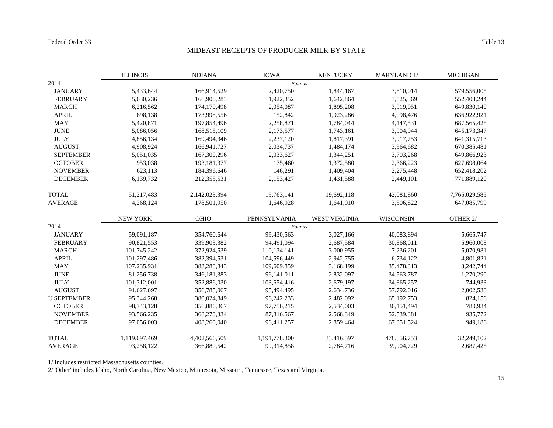#### MIDEAST RECEIPTS OF PRODUCER MILK BY STATE

|                    | <b>ILLINOIS</b> | <b>INDIANA</b> | <b>IOWA</b>   | <b>KENTUCKY</b>      | <b>MARYLAND 1/</b> | <b>MICHIGAN</b> |
|--------------------|-----------------|----------------|---------------|----------------------|--------------------|-----------------|
| 2014               |                 |                | Pounds        |                      |                    |                 |
| <b>JANUARY</b>     | 5,433,644       | 166,914,529    | 2,420,750     | 1,844,167            | 3,810,014          | 579,556,005     |
| <b>FEBRUARY</b>    | 5,630,236       | 166,900,283    | 1,922,352     | 1,642,864            | 3,525,369          | 552,408,244     |
| <b>MARCH</b>       | 6,216,562       | 174,170,498    | 2,054,087     | 1,895,208            | 3,919,051          | 649,830,140     |
| <b>APRIL</b>       | 898,138         | 173,998,556    | 152,842       | 1,923,286            | 4,098,476          | 636,922,921     |
| <b>MAY</b>         | 5,420,871       | 197,854,496    | 2,258,871     | 1,784,044            | 4,147,531          | 687, 565, 425   |
| <b>JUNE</b>        | 5,086,056       | 168,515,109    | 2,173,577     | 1,743,161            | 3,904,944          | 645,173,347     |
| <b>JULY</b>        | 4,856,134       | 169,494,346    | 2,237,120     | 1,817,391            | 3,917,753          | 641, 315, 713   |
| <b>AUGUST</b>      | 4,908,924       | 166,941,727    | 2,034,737     | 1,484,174            | 3,964,682          | 670,385,481     |
| <b>SEPTEMBER</b>   | 5,051,035       | 167,300,296    | 2,033,627     | 1,344,251            | 3,703,268          | 649,866,923     |
| <b>OCTOBER</b>     | 953,038         | 193, 181, 377  | 175,460       | 1,372,580            | 2,366,223          | 627,698,064     |
| <b>NOVEMBER</b>    | 623,113         | 184,396,646    | 146,291       | 1,409,404            | 2,275,448          | 652,418,202     |
| <b>DECEMBER</b>    | 6,139,732       | 212,355,531    | 2,153,427     | 1,431,588            | 2,449,101          | 771,889,120     |
| <b>TOTAL</b>       | 51,217,483      | 2,142,023,394  | 19,763,141    | 19,692,118           | 42,081,860         | 7,765,029,585   |
| <b>AVERAGE</b>     | 4,268,124       | 178,501,950    | 1,646,928     | 1,641,010            | 3,506,822          | 647,085,799     |
|                    | <b>NEW YORK</b> | <b>OHIO</b>    | PENNSYLVANIA  | <b>WEST VIRGINIA</b> | <b>WISCONSIN</b>   | OTHER 2/        |
| 2014               |                 |                | Pounds        |                      |                    |                 |
| <b>JANUARY</b>     | 59,091,187      | 354,760,644    | 99,430,563    | 3,027,166            | 40,083,894         | 5,665,747       |
| <b>FEBRUARY</b>    | 90,821,553      | 339,903,382    | 94,491,094    | 2,687,584            | 30,868,011         | 5,960,008       |
| <b>MARCH</b>       | 101,745,242     | 372,924,539    | 110,134,141   | 3,000,955            | 17,236,201         | 5,070,981       |
| <b>APRIL</b>       | 101,297,486     | 382,394,531    | 104,596,449   | 2,942,755            | 6,734,122          | 4,801,821       |
| <b>MAY</b>         | 107,235,931     | 383,288,843    | 109,609,859   | 3,168,199            | 35,478,313         | 3,242,744       |
| <b>JUNE</b>        | 81,256,738      | 346, 181, 383  | 96,141,011    | 2,832,097            | 34, 563, 787       | 1,270,290       |
| <b>JULY</b>        | 101,312,001     | 352,886,030    | 103,654,416   | 2,679,197            | 34,865,257         | 744,933         |
| <b>AUGUST</b>      | 91,627,697      | 356,785,067    | 95,494,495    | 2,634,736            | 57,792,016         | 2,002,530       |
| <b>U SEPTEMBER</b> | 95,344,268      | 380,024,849    | 96,242,233    | 2,482,092            | 65, 192, 753       | 824,156         |
| <b>OCTOBER</b>     | 98,743,128      | 356,886,867    | 97,756,215    | 2,534,003            | 36,151,494         | 780,934         |
| <b>NOVEMBER</b>    | 93,566,235      | 368,270,334    | 87,816,567    | 2,568,349            | 52,539,381         | 935,772         |
| <b>DECEMBER</b>    | 97,056,003      | 408,260,040    | 96,411,257    | 2,859,464            | 67, 351, 524       | 949,186         |
| <b>TOTAL</b>       | 1,119,097,469   | 4,402,566,509  | 1,191,778,300 | 33,416,597           | 478,856,753        | 32,249,102      |
| <b>AVERAGE</b>     | 93,258,122      | 366,880,542    | 99,314,858    | 2,784,716            | 39,904,729         | 2,687,425       |

1/ Includes restricted Massachusetts counties.

2/ 'Other' includes Idaho, North Carolina, New Mexico, Minnesota, Missouri, Tennessee, Texas and Virginia.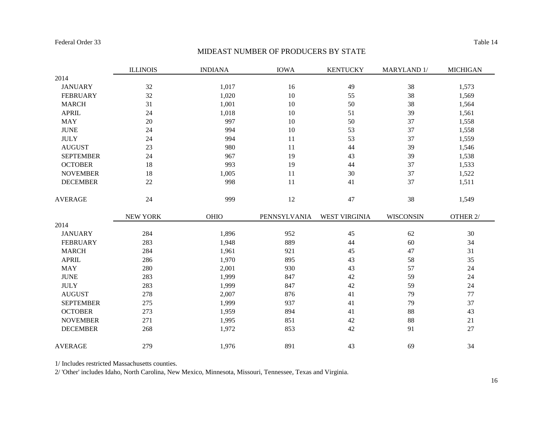# MIDEAST NUMBER OF PRODUCERS BY STATE

|                  | <b>ILLINOIS</b> | <b>INDIANA</b> | <b>IOWA</b>  | <b>KENTUCKY</b> | MARYLAND 1/      | <b>MICHIGAN</b> |
|------------------|-----------------|----------------|--------------|-----------------|------------------|-----------------|
| 2014             |                 |                |              |                 |                  |                 |
| <b>JANUARY</b>   | 32              | 1,017          | 16           | 49              | 38               | 1,573           |
| <b>FEBRUARY</b>  | 32              | 1,020          | 10           | 55              | 38               | 1,569           |
| <b>MARCH</b>     | 31              | 1,001          | 10           | 50              | 38               | 1,564           |
| <b>APRIL</b>     | 24              | 1,018          | 10           | 51              | 39               | 1,561           |
| <b>MAY</b>       | 20              | 997            | 10           | 50              | 37               | 1,558           |
| <b>JUNE</b>      | 24              | 994            | 10           | 53              | 37               | 1,558           |
| <b>JULY</b>      | 24              | 994            | 11           | 53              | 37               | 1,559           |
| <b>AUGUST</b>    | 23              | 980            | 11           | 44              | 39               | 1,546           |
| <b>SEPTEMBER</b> | 24              | 967            | 19           | 43              | 39               | 1,538           |
| <b>OCTOBER</b>   | 18              | 993            | 19           | 44              | 37               | 1,533           |
| <b>NOVEMBER</b>  | 18              | 1,005          | 11           | 30              | 37               | 1,522           |
| <b>DECEMBER</b>  | 22              | 998            | 11           | 41              | 37               | 1,511           |
| <b>AVERAGE</b>   | 24              | 999            | 12           | $47\,$          | 38               | 1,549           |
|                  | NEW YORK        | OHIO           | PENNSYLVANIA | WEST VIRGINIA   | <b>WISCONSIN</b> | OTHER 2/        |
| 2014             |                 |                |              |                 |                  |                 |
| <b>JANUARY</b>   | 284             | 1,896          | 952          | 45              | 62               | 30              |
| <b>FEBRUARY</b>  | 283             | 1,948          | 889          | 44              | 60               | 34              |
| <b>MARCH</b>     | 284             | 1,961          | 921          | 45              | 47               | 31              |
| <b>APRIL</b>     | 286             | 1,970          | 895          | 43              | 58               | 35              |
| <b>MAY</b>       | 280             | 2,001          | 930          | 43              | 57               | 24              |
| <b>JUNE</b>      | 283             | 1,999          | 847          | 42              | 59               | 24              |
| <b>JULY</b>      | 283             | 1,999          | 847          | 42              | 59               | 24              |
| <b>AUGUST</b>    | 278             | 2,007          | 876          | 41              | 79               | 77              |
| <b>SEPTEMBER</b> | 275             | 1,999          | 937          | 41              | 79               | 37              |
| <b>OCTOBER</b>   | 273             | 1,959          | 894          | 41              | 88               | 43              |
| <b>NOVEMBER</b>  | 271             | 1,995          | 851          | $42\,$          | 88               | 21              |
| <b>DECEMBER</b>  | 268             | 1,972          | 853          | $42\,$          | 91               | 27              |
| <b>AVERAGE</b>   | 279             | 1,976          | 891          | 43              | 69               | 34              |

1/ Includes restricted Massachusetts counties.

2/ 'Other' includes Idaho, North Carolina, New Mexico, Minnesota, Missouri, Tennessee, Texas and Virginia.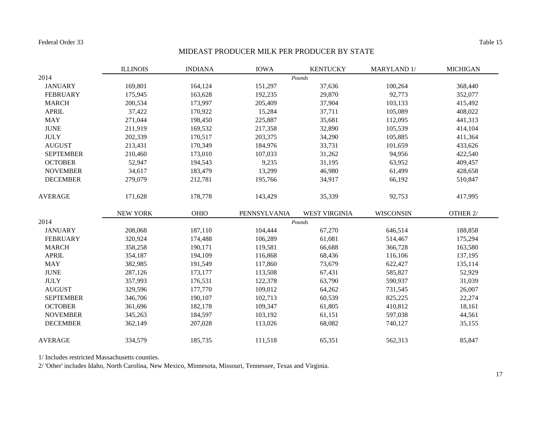#### MIDEAST PRODUCER MILK PER PRODUCER BY STATE

|                  | <b>ILLINOIS</b> | <b>INDIANA</b> | <b>IOWA</b>  | <b>KENTUCKY</b>      | MARYLAND 1/      | <b>MICHIGAN</b> |
|------------------|-----------------|----------------|--------------|----------------------|------------------|-----------------|
| 2014             |                 |                |              | Pounds               |                  |                 |
| <b>JANUARY</b>   | 169,801         | 164,124        | 151,297      | 37,636               | 100,264          | 368,440         |
| <b>FEBRUARY</b>  | 175,945         | 163,628        | 192,235      | 29,870               | 92,773           | 352,077         |
| <b>MARCH</b>     | 200,534         | 173,997        | 205,409      | 37,904               | 103,133          | 415,492         |
| <b>APRIL</b>     | 37,422          | 170,922        | 15,284       | 37,711               | 105,089          | 408,022         |
| <b>MAY</b>       | 271,044         | 198,450        | 225,887      | 35,681               | 112,095          | 441,313         |
| <b>JUNE</b>      | 211,919         | 169,532        | 217,358      | 32,890               | 105,539          | 414,104         |
| <b>JULY</b>      | 202,339         | 170,517        | 203,375      | 34,290               | 105,885          | 411,364         |
| <b>AUGUST</b>    | 213,431         | 170,349        | 184,976      | 33,731               | 101,659          | 433,626         |
| <b>SEPTEMBER</b> | 210,460         | 173,010        | 107,033      | 31,262               | 94,956           | 422,540         |
| <b>OCTOBER</b>   | 52,947          | 194,543        | 9,235        | 31,195               | 63,952           | 409,457         |
| <b>NOVEMBER</b>  | 34,617          | 183,479        | 13,299       | 46,980               | 61,499           | 428,658         |
| <b>DECEMBER</b>  | 279,079         | 212,781        | 195,766      | 34,917               | 66,192           | 510,847         |
| <b>AVERAGE</b>   | 171,628         | 178,778        | 143,429      | 35,339               | 92,753           | 417,995         |
|                  | NEW YORK        | OHIO           | PENNSYLVANIA | <b>WEST VIRGINIA</b> | <b>WISCONSIN</b> | OTHER 2/        |
| 2014             |                 |                |              | Pounds               |                  |                 |
| <b>JANUARY</b>   | 208,068         | 187,110        | 104,444      | 67,270               | 646,514          | 188,858         |
| <b>FEBRUARY</b>  | 320,924         | 174,488        | 106,289      | 61,081               | 514,467          | 175,294         |
| <b>MARCH</b>     | 358,258         | 190,171        | 119,581      | 66,688               | 366,728          | 163,580         |
| <b>APRIL</b>     | 354,187         | 194,109        | 116,868      | 68,436               | 116,106          | 137,195         |
| <b>MAY</b>       | 382,985         | 191,549        | 117,860      | 73,679               | 622,427          | 135,114         |
| <b>JUNE</b>      | 287,126         | 173,177        | 113,508      | 67,431               | 585,827          | 52,929          |
| <b>JULY</b>      | 357,993         | 176,531        | 122,378      | 63,790               | 590,937          | 31,039          |
| <b>AUGUST</b>    | 329,596         | 177,770        | 109,012      | 64,262               | 731,545          | 26,007          |
| <b>SEPTEMBER</b> | 346,706         | 190,107        | 102,713      | 60,539               | 825,225          | 22,274          |
| <b>OCTOBER</b>   | 361,696         | 182,178        | 109,347      | 61,805               | 410,812          | 18,161          |
| <b>NOVEMBER</b>  | 345,263         | 184,597        | 103,192      | 61,151               | 597,038          | 44,561          |
| <b>DECEMBER</b>  | 362,149         | 207,028        | 113,026      | 68,082               | 740,127          | 35,155          |
| <b>AVERAGE</b>   | 334,579         | 185,735        | 111,518      | 65,351               | 562,313          | 85,847          |

1/ Includes restricted Massachusetts counties.

2/ 'Other' includes Idaho, North Carolina, New Mexico, Minnesota, Missouri, Tennessee, Texas and Virginia.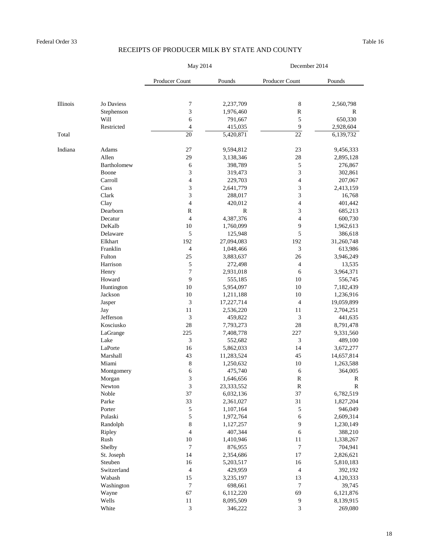|          |             | May 2014              |             | December 2014    |             |  |
|----------|-------------|-----------------------|-------------|------------------|-------------|--|
|          |             | <b>Producer Count</b> | Pounds      | Producer Count   | Pounds      |  |
|          |             |                       |             |                  |             |  |
| Illinois | Jo Daviess  | 7                     | 2,237,709   | 8                | 2,560,798   |  |
|          | Stephenson  | 3                     | 1,976,460   | ${\bf R}$        | $\mathbf R$ |  |
|          | <b>Will</b> | 6                     | 791,667     | 5                | 650,330     |  |
|          | Restricted  | 4                     | 415,035     | 9                | 2,928,604   |  |
| Total    |             | 20                    | 5,420,871   | 22               | 6,139,732   |  |
| Indiana  | Adams       | 27                    | 9,594,812   | 23               | 9,456,333   |  |
|          | Allen       | 29                    | 3,138,346   | 28               | 2,895,128   |  |
|          | Bartholomew | 6                     | 398,789     | $\mathfrak s$    | 276,867     |  |
|          | Boone       | 3                     | 319,473     | 3                | 302,861     |  |
|          | Carroll     | 4                     | 229,703     | 4                | 207,067     |  |
|          | Cass        | $\mathfrak{Z}$        | 2,641,779   | 3                | 2,413,159   |  |
|          | Clark       | 3                     | 288,017     | 3                | 16,768      |  |
|          | Clay        | 4                     | 420,012     | 4                | 401,442     |  |
|          | Dearborn    | $\mathbf R$           | $\mathbf R$ | 3                | 685,213     |  |
|          | Decatur     | $\overline{4}$        | 4,387,376   | 4                | 600,730     |  |
|          | DeKalb      | 10                    | 1,760,099   | 9                | 1,962,613   |  |
|          | Delaware    | 5                     | 125,948     | 5                | 386,618     |  |
|          | Elkhart     | 192                   | 27,094,083  | 192              | 31,260,748  |  |
|          | Franklin    | 4                     | 1,048,466   | 3                | 613,986     |  |
|          | Fulton      | 25                    | 3,883,637   | 26               | 3,946,249   |  |
|          | Harrison    | 5                     | 272,498     | 4                | 13,535      |  |
|          | Henry       | 7                     | 2,931,018   | 6                | 3,964,371   |  |
|          | Howard      | 9                     | 555,185     | 10               | 556,745     |  |
|          | Huntington  | 10                    | 5,954,097   | $10\,$           | 7,182,439   |  |
|          | Jackson     | 10                    | 1,211,188   | 10               | 1,236,916   |  |
|          | Jasper      | 3                     | 17,227,714  | $\overline{4}$   | 19,059,899  |  |
|          | Jay         | 11                    | 2,536,220   | 11               | 2,704,251   |  |
|          | Jefferson   | 3                     | 459,822     | 3                | 441,635     |  |
|          | Kosciusko   | $28\,$                | 7,793,273   | 28               | 8,791,478   |  |
|          | LaGrange    | 225                   | 7,408,778   | 227              | 9,331,560   |  |
|          | Lake        | 3                     | 552,682     | $\mathfrak{Z}$   | 489,100     |  |
|          | LaPorte     | 16                    | 5,862,033   | 14               | 3,672,277   |  |
|          | Marshall    | 43                    | 11,283,524  | 45               | 14,657,814  |  |
|          | Miami       | $8\,$                 | 1,250,632   | 10               | 1,263,588   |  |
|          | Montgomery  | 6                     | 475,740     | 6                | 364,005     |  |
|          | Morgan      | 3                     | 1,646,656   | $\mathbf R$      | $\mathbf R$ |  |
|          | Newton      | 3                     | 23,333,552  | $\mathbf R$      | $\mathbf R$ |  |
|          | Noble       | 37                    | 6,032,136   | 37               | 6,782,519   |  |
|          | Parke       | 33                    | 2,361,027   | 31               | 1,827,204   |  |
|          | Porter      | 5                     | 1,107,164   | 5                | 946,049     |  |
|          | Pulaski     | 5                     | 1,972,764   | 6                | 2,609,314   |  |
|          | Randolph    | $8\,$                 | 1,127,257   | 9                | 1,230,149   |  |
|          | Ripley      | 4                     | 407,344     | 6                | 388,210     |  |
|          | Rush        | 10                    | 1,410,946   | 11               | 1,338,267   |  |
|          | Shelby      | $\boldsymbol{7}$      | 876,955     | $\sqrt{ }$       | 704,941     |  |
|          | St. Joseph  | 14                    | 2,354,686   | 17               | 2,826,621   |  |
|          | Steuben     | 16                    | 5,203,517   | 16               | 5,810,183   |  |
|          | Switzerland | $\overline{4}$        | 429,959     | $\overline{4}$   | 392,192     |  |
|          | Wabash      | 15                    | 3,235,197   | 13               | 4,120,333   |  |
|          | Washington  | $\tau$                | 698,661     | $\boldsymbol{7}$ | 39,745      |  |
|          | Wayne       | 67                    | 6,112,220   | 69               | 6,121,876   |  |
|          | Wells       | 11                    | 8,095,509   | 9                | 8,139,915   |  |
|          | White       | 3                     | 346,222     | 3                | 269,080     |  |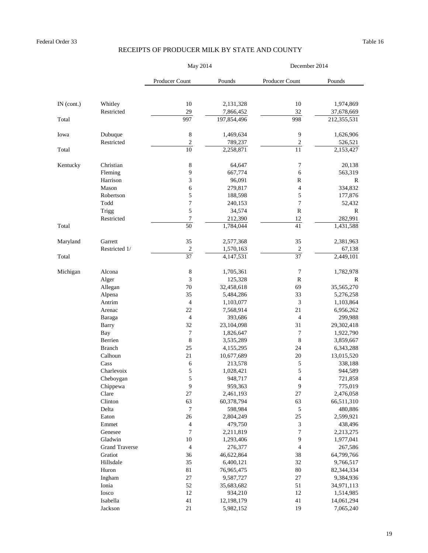|              |                       | May 2014         |                      | December 2014         |                    |  |
|--------------|-----------------------|------------------|----------------------|-----------------------|--------------------|--|
|              |                       | Producer Count   | Pounds               | <b>Producer Count</b> | Pounds             |  |
|              |                       |                  |                      |                       |                    |  |
| $IN$ (cont.) | Whitley               | 10               | 2,131,328            | 10                    | 1,974,869          |  |
|              | Restricted            | 29               | 7,866,452            | 32                    | 37,678,669         |  |
| Total        |                       | 997              | 197,854,496          | 998                   | 212,355,531        |  |
| Iowa         | Dubuque               | $8\,$            | 1,469,634            | 9                     | 1,626,906          |  |
|              | Restricted            | $\overline{c}$   | 789,237              | $\mathbf{2}$          | 526,521            |  |
| Total        |                       | 10               | 2,258,871            | 11                    | 2,153,427          |  |
| Kentucky     | Christian             | $\,8\,$          | 64,647               | 7                     | 20,138             |  |
|              | Fleming               | 9                | 667,774              | 6                     | 563,319            |  |
|              | Harrison              | 3                | 96,091               | $\mathbf R$           | $\mathbf R$        |  |
|              | Mason                 | 6                | 279,817              | 4                     | 334,832            |  |
|              | Robertson             | 5                | 188,598              | 5                     | 177,876            |  |
|              | Todd                  | 7                | 240,153              | 7                     | 52,432             |  |
|              | Trigg                 | 5                | 34,574               | $\mathbf R$           | $\mathbf R$        |  |
|              | Restricted            |                  | 212,390              | 12                    | 282,991            |  |
| Total        |                       | 50               | 1,784,044            | 41                    | 1,431,588          |  |
| Maryland     | Garrett               | 35               | 2,577,368            | 35                    | 2,381,963          |  |
|              | Restricted 1/         | $\overline{2}$   | 1,570,163            | $\overline{2}$        | 67,138             |  |
| Total        |                       | 37               | 4,147,531            | 37                    | 2,449,101          |  |
| Michigan     | Alcona                | 8                | 1,705,361            | $\overline{7}$        | 1,782,978          |  |
|              | Alger                 | 3                | 125,328              | $\mathbf R$           | $\mathbf R$        |  |
|              | Allegan               | 70               | 32,458,618           | 69                    | 35,565,270         |  |
|              | Alpena                | 35               | 5,484,286            | 33                    | 5,276,258          |  |
|              | Antrim                | $\overline{4}$   | 1,103,077            | 3                     | 1,103,864          |  |
|              | Arenac                | 22               | 7,568,914            | 21                    | 6,956,262          |  |
|              | Baraga                | $\overline{4}$   | 393,686              | $\overline{4}$        | 299,988            |  |
|              | Barry                 | 32               | 23,104,098           | 31                    | 29,302,418         |  |
|              | Bay                   | $\boldsymbol{7}$ | 1,826,647            | $\overline{7}$        | 1,922,790          |  |
|              | Berrien               | 8                | 3,535,289            | 8                     | 3,859,667          |  |
|              | <b>Branch</b>         | 25               | 4,155,295            | 24                    | 6,343,288          |  |
|              | Calhoun               | 21               | 10,677,689           | 20                    | 13,015,520         |  |
|              | Cass<br>Charlevoix    | 6<br>5           | 213,578<br>1,028,421 | $\mathfrak s$<br>5    | 338,188<br>944,589 |  |
|              | Cheboygan             | 5                | 948,717              | 4                     | 721,858            |  |
|              | Chippewa              | 9                | 959,363              | 9                     | 775,019            |  |
|              | Clare                 | 27               | 2,461,193            | 27                    | 2,476,058          |  |
|              | Clinton               | 63               | 60,378,794           | 63                    | 66,511,310         |  |
|              | Delta                 | 7                | 598,984              | 5                     | 480,886            |  |
|              | Eaton                 | 26               | 2,804,249            | 25                    | 2,599,921          |  |
|              | Emmet                 | 4                | 479,750              | 3                     | 438,496            |  |
|              | Genesee               | $\tau$           | 2,211,819            | 7                     | 2,213,275          |  |
|              | Gladwin               | 10               | 1,293,406            | 9                     | 1,977,041          |  |
|              | <b>Grand Traverse</b> | $\overline{4}$   | 276,377              | 4                     | 267,586            |  |
|              | Gratiot               | 36               | 46,622,864           | 38                    | 64,799,766         |  |
|              | Hillsdale             | 35               | 6,400,121            | 32                    | 9,766,517          |  |
|              | Huron                 | 81               | 76,965,475           | 80                    | 82,344,334         |  |
|              | Ingham                | 27               | 9,587,727            | 27                    | 9,384,936          |  |
|              | Ionia                 | 52               | 35,683,682           | 51                    | 34,971,113         |  |
|              | Iosco                 | 12               | 934,210              | 12                    | 1,514,985          |  |
|              | Isabella              | 41               | 12,198,179           | 41                    | 14,061,294         |  |
|              | Jackson               | 21               | 5,982,152            | 19                    | 7,065,240          |  |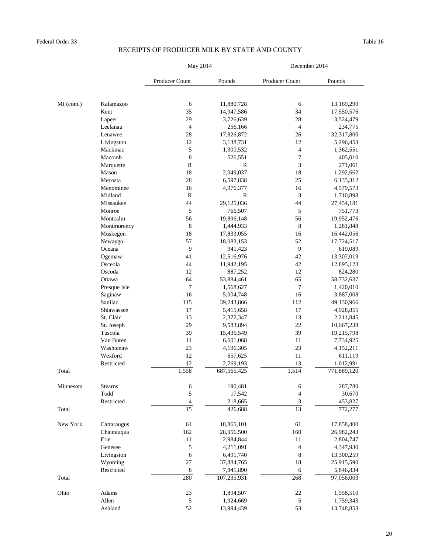|            |                | May 2014        |               | December 2014            |             |  |
|------------|----------------|-----------------|---------------|--------------------------|-------------|--|
|            |                | Producer Count  | Pounds        | <b>Producer Count</b>    | Pounds      |  |
|            |                |                 |               |                          |             |  |
| MI (cont.) | Kalamazoo      | 6               | 11,880,728    | 6                        | 13,169,290  |  |
|            | Kent           | 35              | 14,947,586    | 34                       | 17,550,576  |  |
|            | Lapeer         | 29              | 3,726,639     | 28                       | 3,524,479   |  |
|            | Leelanau       | $\overline{4}$  | 256,166       | $\overline{4}$           | 234,775     |  |
|            | Lenawee        | 28              | 17,826,872    | 26                       | 32,317,800  |  |
|            | Livingston     | 12              | 3,138,731     | 12                       | 5,296,453   |  |
|            | Mackinac       | $\mathfrak{S}$  | 1,300,532     | $\overline{4}$           | 1,362,551   |  |
|            | Macomb         | $8\,$           | 526,551       | $\boldsymbol{7}$         | 405,010     |  |
|            | Marquette      | ${\bf R}$       | $\mathbf R$   | $\mathfrak{Z}$           | 271,061     |  |
|            | Mason          | 18              | 2,049,037     | 18                       | 1,292,662   |  |
|            | Mecosta        | 28              | 6,597,838     | 25                       | 6,135,312   |  |
|            | Menominee      | 16              | 4,976,377     | 16                       | 4,579,573   |  |
|            | Midland        | $\mathbf R$     | $\mathbf R$   | $\mathfrak{Z}$           | 1,710,898   |  |
|            | Missaukee      | 44              | 29,125,036    | 44                       | 27,454,181  |  |
|            | Monroe         | 5               | 766,507       | $\mathfrak{S}$           | 751,773     |  |
|            | Montcalm       | 56              | 19,896,148    | 56                       | 19,952,476  |  |
|            | Montmorency    | 8               | 1,444,933     | $8\,$                    | 1,281,848   |  |
|            | Muskegon       | 18              | 17,833,055    | 16                       | 16,442,056  |  |
|            | Newaygo        | 57              | 18,083,153    | 52                       | 17,724,517  |  |
|            | Oceana         | 9               | 941,423       | 9                        | 619,089     |  |
|            | Ogemaw         | 41              | 12,516,976    | 42                       | 13,307,019  |  |
|            | Osceola        | 44              | 11,942,195    | 42                       | 12,895,123  |  |
|            | Oscoda         | 12              | 887,252       | 12                       | 824,280     |  |
|            | Ottawa         | 64              | 53,884,461    | 65                       | 58,732,637  |  |
|            | Presque Isle   | $\overline{7}$  | 1,568,627     | $\boldsymbol{7}$         | 1,420,010   |  |
|            | Saginaw        | 16              | 5,004,748     | 16                       | 3,887,008   |  |
|            | Sanilac        | 115             | 39,243,866    | 112                      | 49,130,966  |  |
|            | Shiawassee     | 17              | 5,415,658     | 17                       | 4,928,855   |  |
|            | St. Clair      | 13              | 2,372,347     | 13                       | 2,211,845   |  |
|            | St. Joseph     | 29              | 9,583,894     | 22                       | 10,667,238  |  |
|            | Tuscola        | 39              | 15,436,549    | 39                       | 19,215,798  |  |
|            | Van Buren      | 11              | 6,601,068     | 11                       | 7,734,925   |  |
|            | Washtenaw      | 23              | 4,196,305     | 23                       | 4,152,211   |  |
|            | Wexford        | 12              | 657,625       | 11                       | 611,119     |  |
|            | Restricted     | 12              | 2,769,193     | 13                       | 1,012,991   |  |
| Total      |                | 1,558           | 687, 565, 425 | 1,514                    | 771,889,120 |  |
| Minnesota  | <b>Stearns</b> | 6               | 190,481       | 6                        | 287,780     |  |
|            | Todd           | 5               | 17,542        | $\overline{\mathcal{A}}$ | 30,670      |  |
|            | Restricted     | 4               | 218,665       | $\mathfrak{Z}$           | 453,827     |  |
| Total      |                | $\overline{15}$ | 426,688       | 13                       | 772,277     |  |
| New York   | Cattaraugus    | 61              | 18,865,101    | 61                       | 17,858,400  |  |
|            | Chautauqua     | 162             | 28,956,500    | 160                      | 26,982,243  |  |
|            | Erie           | 11              | 2,984,844     | 11                       | 2,804,747   |  |
|            | Genesee        | 5               | 4,211,091     | $\overline{4}$           | 4,347,930   |  |
|            | Livingston     | 6               | 6,491,740     | $8\,$                    | 13,300,259  |  |
|            | Wyoming        | 27              | 37,884,765    | 18                       | 25,915,590  |  |
|            | Restricted     | 8               | 7,841,890     | 6                        | 5,846,834   |  |
| Total      |                | 280             | 107,235,931   | 268                      | 97,056,003  |  |
| Ohio       | Adams          | 23              | 1,894,507     | 22                       | 1,558,510   |  |
|            | Allen          | 5               | 1,924,669     | $\mathfrak s$            | 1,759,343   |  |
|            | Ashland        | 52              | 13,994,439    | 53                       | 13,748,853  |  |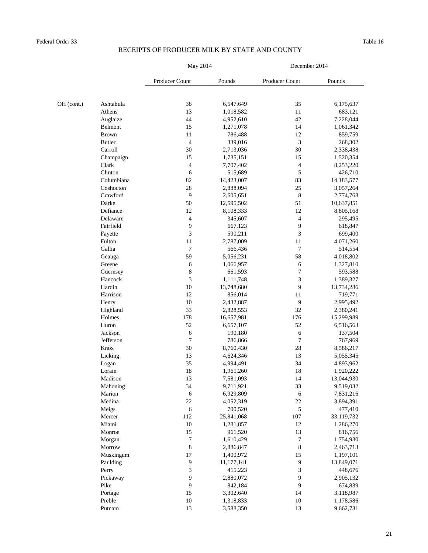|            |                | May 2014       |            | December 2014         |            |  |
|------------|----------------|----------------|------------|-----------------------|------------|--|
|            |                | Producer Count | Pounds     | <b>Producer Count</b> | Pounds     |  |
|            |                |                |            |                       |            |  |
| OH (cont.) | Ashtabula      | 38             | 6,547,649  | 35                    | 6,175,637  |  |
|            | Athens         | 13             | 1,018,582  | 11                    | 683,121    |  |
|            | Auglaize       | 44             | 4,952,610  | 42                    | 7,228,044  |  |
|            | <b>Belmont</b> | 15             | 1,271,078  | 14                    | 1,061,342  |  |
|            | <b>Brown</b>   | 11             | 786,488    | 12                    | 859,759    |  |
|            | <b>Butler</b>  | $\overline{4}$ | 339,016    | 3                     | 268,302    |  |
|            | Carroll        | 30             | 2,713,036  | 30                    | 2,338,438  |  |
|            | Champaign      | 15             | 1,735,151  | 15                    | 1,520,354  |  |
|            | Clark          | 4              | 7,707,402  | $\overline{4}$        | 8,253,220  |  |
|            | Clinton        | 6              | 515,689    | 5                     | 426,710    |  |
|            | Columbiana     | 82             | 14,423,007 | 83                    | 14,183,577 |  |
|            | Coshocton      | 28             | 2,888,094  | 25                    | 3,057,264  |  |
|            | Crawford       | 9              | 2,605,651  | 8                     | 2,774,768  |  |
|            | Darke          | 50             | 12,595,502 | 51                    | 10,637,851 |  |
|            | Defiance       | 12             | 8,108,333  | 12                    | 8,805,168  |  |
|            | Delaware       | $\overline{4}$ | 345,607    | $\overline{4}$        | 295,495    |  |
|            | Fairfield      | 9              | 667,123    | 9                     | 618,847    |  |
|            | Fayette        | 3              | 590,211    | $\mathfrak{Z}$        | 699,400    |  |
|            | Fulton         | 11             | 2,787,009  | 11                    | 4,071,260  |  |
|            | Gallia         | $\overline{7}$ | 566,436    | 7                     | 514,554    |  |
|            | Geauga         | 59             | 5,056,231  | 58                    | 4,018,802  |  |
|            | Greene         | 6              | 1,066,957  | 6                     | 1,327,810  |  |
|            | Guernsey       | $8\,$          | 661,593    | $\overline{7}$        | 593,588    |  |
|            | Hancock        | 3              | 1,111,748  | $\mathfrak{Z}$        | 1,389,327  |  |
|            | Hardin         | 10             | 13,748,680 | 9                     | 13,734,286 |  |
|            | Harrison       | 12             | 856,014    | 11                    | 719,771    |  |
|            | Henry          | 10             | 2,432,887  | 9                     | 2,995,492  |  |
|            | Highland       | 33             | 2,828,553  | 32                    | 2,380,241  |  |
|            | Holmes         | 178            | 16,657,981 | 176                   | 15,299,989 |  |
|            | Huron          | 52             | 6,657,107  | 52                    | 6,516,563  |  |
|            | Jackson        | 6              | 190,180    | 6                     | 137,504    |  |
|            | Jefferson      | $\overline{7}$ | 786,866    | $\overline{7}$        | 767,969    |  |
|            | Knox           | 30             | 8,760,430  | 28                    | 8,586,217  |  |
|            | Licking        | 13             | 4,624,346  | 13                    | 5,055,345  |  |
|            | Logan          | 35             | 4,994,491  | 34                    | 4,893,962  |  |
|            | Lorain         | 18             | 1,961,260  | 18                    | 1,920,222  |  |
|            | Madison        | 13             | 7,581,093  | 14                    | 13,044,930 |  |
|            | Mahoning       | 34             | 9,711,921  | 33                    | 9,519,032  |  |
|            | Marion         | 6              | 6,929,809  | 6                     | 7,831,216  |  |
|            | Medina         | 22             | 4,052,319  | 22                    | 3,894,391  |  |
|            | Meigs          | 6              | 700,520    | 5                     | 477,410    |  |
|            | Mercer         | 112            | 25,841,068 | 107                   | 33,119,732 |  |
|            | Miami          | 10             | 1,281,857  | 12                    | 1,286,270  |  |
|            | Monroe         | 15             | 961,520    | 13                    | 816,756    |  |
|            | Morgan         | 7              | 1,610,429  | 7                     | 1,754,930  |  |
|            | Morrow         | $8\,$          | 2,886,847  | 8                     | 2,463,713  |  |
|            | Muskingum      | 17             | 1,400,972  | 15                    | 1,197,101  |  |
|            | Paulding       | 9              | 11,177,141 | 9                     | 13,849,071 |  |
|            | Perry          | 3              | 415,223    | 3                     | 448,676    |  |
|            | Pickaway       | 9              | 2,880,072  | 9                     | 2,905,132  |  |
|            | Pike           | 9              | 842,184    | 9                     | 674,839    |  |
|            | Portage        | 15             | 3,302,640  | 14                    | 3,118,987  |  |
|            | Preble         | 10             | 1,318,833  | 10                    | 1,178,586  |  |
|            | Putnam         | 13             | 3,588,350  | 13                    | 9,662,731  |  |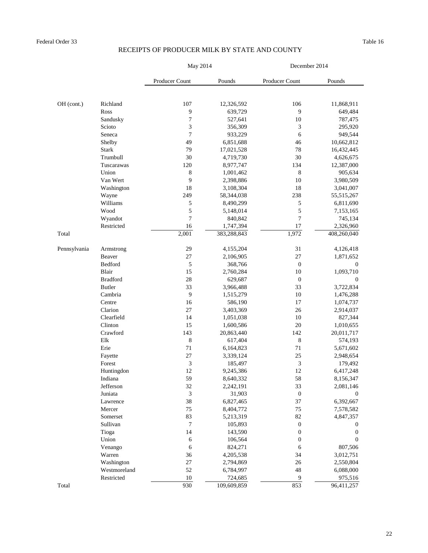|              |                  | May 2014       |                       | December 2014    |                       |  |
|--------------|------------------|----------------|-----------------------|------------------|-----------------------|--|
|              |                  | Producer Count | Pounds                | Producer Count   | Pounds                |  |
|              |                  |                |                       |                  |                       |  |
| OH (cont.)   | Richland         | 107<br>9       | 12,326,592<br>639,729 | 106<br>9         | 11,868,911<br>649,484 |  |
|              | Ross<br>Sandusky | $\sqrt{ }$     | 527,641               | 10               | 787,475               |  |
|              | Scioto           | 3              | 356,309               | 3                | 295,920               |  |
|              | Seneca           | 7              | 933,229               | 6                | 949,544               |  |
|              | Shelby           | 49             | 6,851,688             | 46               | 10,662,812            |  |
|              | <b>Stark</b>     | 79             | 17,021,528            | 78               | 16,432,445            |  |
|              | Trumbull         | 30             | 4,719,730             | 30               | 4,626,675             |  |
|              | Tuscarawas       | 120            | 8,977,747             | 134              | 12,387,000            |  |
|              | Union            | 8              | 1,001,462             | 8                | 905,634               |  |
|              | Van Wert         | 9              | 2,398,886             | 10               | 3,980,509             |  |
|              | Washington       | 18             | 3,108,304             | 18               | 3,041,007             |  |
|              | Wayne            | 249            | 58,344,038            | 238              | 55,515,267            |  |
|              | Williams         | 5              | 8,490,299             | 5                | 6,811,690             |  |
|              | Wood             | 5              | 5,148,014             | 5                | 7,153,165             |  |
|              | Wyandot          | 7              | 840,842               | $\overline{7}$   | 745,134               |  |
|              | Restricted       | 16             | 1,747,394             | 17               | 2,326,960             |  |
| Total        |                  | 2,001          | 383,288,843           | 1,972            | 408,260,040           |  |
| Pennsylvania | Armstrong        | 29             | 4,155,204             | 31               | 4,126,418             |  |
|              | Beaver           | 27             | 2,106,905             | 27               | 1,871,652             |  |
|              | Bedford          | 5              | 368,766               | $\boldsymbol{0}$ | $\boldsymbol{0}$      |  |
|              | Blair            | 15             | 2,760,284             | 10               | 1,093,710             |  |
|              | <b>Bradford</b>  | 28             | 629,687               | $\boldsymbol{0}$ | $\boldsymbol{0}$      |  |
|              | <b>Butler</b>    | 33             | 3,966,488             | 33               | 3,722,834             |  |
|              | Cambria          | 9              | 1,515,279             | 10               | 1,476,288             |  |
|              | Centre           | 16             | 586,190               | 17               | 1,074,737             |  |
|              | Clarion          | 27             | 3,403,369             | 26               | 2,914,037             |  |
|              | Clearfield       | 14             | 1,051,038             | 10               | 827,344               |  |
|              | Clinton          | 15             | 1,600,586             | 20               | 1,010,655             |  |
|              | Crawford         | 143            | 20,863,440            | 142              | 20,011,717            |  |
|              | Elk              | $8\,$          | 617,404               | $8\,$            | 574,193               |  |
|              | Erie             | 71             | 6,164,823             | 71               | 5,671,602             |  |
|              | Fayette          | 27             | 3,339,124             | 25               | 2,948,654             |  |
|              | Forest           | $\mathfrak{Z}$ | 185,497               | 3                | 179,492               |  |
|              | Huntingdon       | 12             | 9,245,386             | 12               | 6,417,248             |  |
|              | Indiana          | 59             | 8,640,332             | 58               | 8,156,347             |  |
|              | Jefferson        | 32             | 2,242,191             | 33               | 2,081,146             |  |
|              | Juniata          | 3              | 31,903                | $\boldsymbol{0}$ | $\boldsymbol{0}$      |  |
|              | Lawrence         | 38             | 6,827,465             | 37               | 6,392,667             |  |
|              | Mercer           | 75             | 8,404,772             | 75               | 7,578,582             |  |
|              | Somerset         | 83             | 5,213,319             | 82               | 4,847,357             |  |
|              | Sullivan         | 7              | 105,893               | $\boldsymbol{0}$ | $\boldsymbol{0}$      |  |
|              | Tioga            | 14             | 143,590               | $\boldsymbol{0}$ | $\boldsymbol{0}$      |  |
|              | Union            | 6              | 106,564               | $\boldsymbol{0}$ | $\boldsymbol{0}$      |  |
|              | Venango          | 6              | 824,271               | 6                | 807,506               |  |
|              | Warren           | 36             | 4,205,538             | 34               | 3,012,751             |  |
|              | Washington       | 27             | 2,794,869             | 26               | 2,550,804             |  |
|              | Westmoreland     | 52             | 6,784,997             | 48               | 6,088,000             |  |
|              | Restricted       | 10             | 724,685               | 9                | 975,516               |  |
| Total        |                  | 930            | 109,609,859           | 853              | 96,411,257            |  |